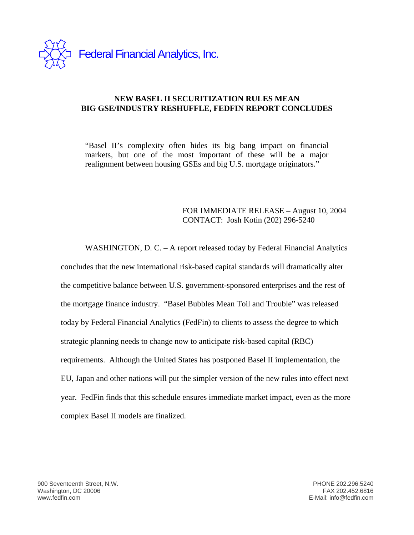

## **NEW BASEL II SECURITIZATION RULES MEAN BIG GSE/INDUSTRY RESHUFFLE, FEDFIN REPORT CONCLUDES**

"Basel II's complexity often hides its big bang impact on financial markets, but one of the most important of these will be a major realignment between housing GSEs and big U.S. mortgage originators."

## FOR IMMEDIATE RELEASE – August 10, 2004 CONTACT: Josh Kotin (202) 296-5240

WASHINGTON, D. C. – A report released today by Federal Financial Analytics concludes that the new international risk-based capital standards will dramatically alter the competitive balance between U.S. government-sponsored enterprises and the rest of the mortgage finance industry. "Basel Bubbles Mean Toil and Trouble" was released today by Federal Financial Analytics (FedFin) to clients to assess the degree to which strategic planning needs to change now to anticipate risk-based capital (RBC) requirements. Although the United States has postponed Basel II implementation, the EU, Japan and other nations will put the simpler version of the new rules into effect next year. FedFin finds that this schedule ensures immediate market impact, even as the more complex Basel II models are finalized.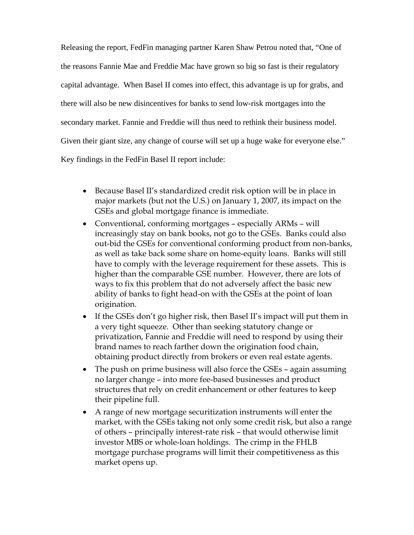Releasing the report, FedFin managing partner Karen Shaw Petrou noted that, "One of the reasons Fannie Mae and Freddie Mac have grown so big so fast is their regulatory capital advantage. When Basel II comes into effect, this advantage is up for grabs, and there will also be new disincentives for banks to send low-risk mortgages into the secondary market. Fannie and Freddie will thus need to rethink their business model. Given their giant size, any change of course will set up a huge wake for everyone else." Key findings in the FedFin Basel II report include:

- Because Basel II's standardized credit risk option will be in place in major markets (but not the U.S.) on January 1, 2007, its impact on the GSEs and global mortgage finance is immediate.
- Conventional, conforming mortgages especially ARMs will increasingly stay on bank books, not go to the GSEs. Banks could also out-bid the GSEs for conventional conforming product from non-banks, as well as take back some share on home-equity loans. Banks will still have to comply with the leverage requirement for these assets. This is higher than the comparable GSE number. However, there are lots of ways to fix this problem that do not adversely affect the basic new ability of banks to fight head-on with the GSEs at the point of loan origination.
- If the GSEs don't go higher risk, then Basel II's impact will put them in a very tight squeeze. Other than seeking statutory change or privatization, Fannie and Freddie will need to respond by using their brand names to reach farther down the origination food chain, obtaining product directly from brokers or even real estate agents.
- The push on prime business will also force the GSEs again assuming no larger change – into more fee-based businesses and product structures that rely on credit enhancement or other features to keep their pipeline full.
- A range of new mortgage securitization instruments will enter the market, with the GSEs taking not only some credit risk, but also a range of others – principally interest-rate risk – that would otherwise limit investor MBS or whole-loan holdings. The crimp in the FHLB mortgage purchase programs will limit their competitiveness as this market opens up.